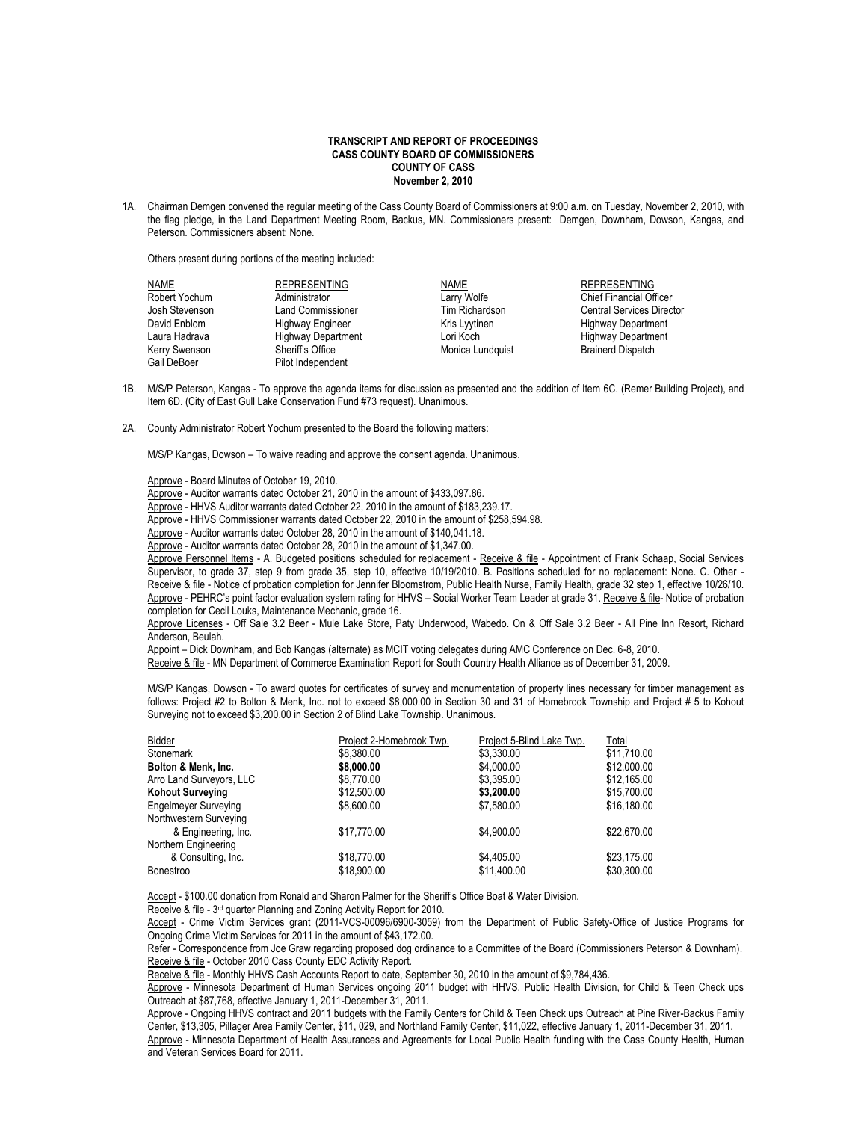## **TRANSCRIPT AND REPORT OF PROCEEDINGS CASS COUNTY BOARD OF COMMISSIONERS COUNTY OF CASS November 2, 2010**

1A. Chairman Demgen convened the regular meeting of the Cass County Board of Commissioners at 9:00 a.m. on Tuesday, November 2, 2010, with the flag pledge, in the Land Department Meeting Room, Backus, MN. Commissioners present: Demgen, Downham, Dowson, Kangas, and Peterson. Commissioners absent: None.

Others present during portions of the meeting included:

| <b>NAME</b>    | <b>REPRESENTING</b>       | NAME             | <b>REPRESENTING</b>              |
|----------------|---------------------------|------------------|----------------------------------|
| Robert Yochum  | Administrator             | Larry Wolfe      | <b>Chief Financial Officer</b>   |
| Josh Stevenson | <b>Land Commissioner</b>  | Tim Richardson   | <b>Central Services Director</b> |
| David Enblom   | Highway Engineer          | Kris Lyytinen    | <b>Highway Department</b>        |
| Laura Hadrava  | <b>Highway Department</b> | Lori Koch        | <b>Highway Department</b>        |
| Kerry Swenson  | Sheriff's Office          | Monica Lundquist | <b>Brainerd Dispatch</b>         |
| Gail DeBoer    | Pilot Independent         |                  |                                  |

- 1B. M/S/P Peterson, Kangas To approve the agenda items for discussion as presented and the addition of Item 6C. (Remer Building Project), and Item 6D. (City of East Gull Lake Conservation Fund #73 request). Unanimous.
- 2A. County Administrator Robert Yochum presented to the Board the following matters:

M/S/P Kangas, Dowson – To waive reading and approve the consent agenda. Unanimous.

Approve - Board Minutes of October 19, 2010.

Approve - Auditor warrants dated October 21, 2010 in the amount of \$433,097.86.

Approve - HHVS Auditor warrants dated October 22, 2010 in the amount of \$183,239.17.

Approve - HHVS Commissioner warrants dated October 22, 2010 in the amount of \$258,594.98.

Approve - Auditor warrants dated October 28, 2010 in the amount of \$140,041.18.

Approve - Auditor warrants dated October 28, 2010 in the amount of \$1,347.00.

Approve Personnel Items - A. Budgeted positions scheduled for replacement - Receive & file - Appointment of Frank Schaap, Social Services Supervisor, to grade 37, step 9 from grade 35, step 10, effective 10/19/2010. B. Positions scheduled for no replacement: None. C. Other - Receive & file - Notice of probation completion for Jennifer Bloomstrom, Public Health Nurse, Family Health, grade 32 step 1, effective 10/26/10. Approve - PEHRC's point factor evaluation system rating for HHVS – Social Worker Team Leader at grade 31. Receive & file- Notice of probation completion for Cecil Louks, Maintenance Mechanic, grade 16.

Approve Licenses - Off Sale 3.2 Beer - Mule Lake Store, Paty Underwood, Wabedo. On & Off Sale 3.2 Beer - All Pine Inn Resort, Richard Anderson, Beulah.

Appoint – Dick Downham, and Bob Kangas (alternate) as MCIT voting delegates during AMC Conference on Dec. 6-8, 2010.

Receive & file - MN Department of Commerce Examination Report for South Country Health Alliance as of December 31, 2009.

M/S/P Kangas, Dowson - To award quotes for certificates of survey and monumentation of property lines necessary for timber management as follows: Project #2 to Bolton & Menk, Inc. not to exceed \$8,000.00 in Section 30 and 31 of Homebrook Township and Project # 5 to Kohout Surveying not to exceed \$3,200.00 in Section 2 of Blind Lake Township. Unanimous.

| Bidder                      | Project 2-Homebrook Twp. | Project 5-Blind Lake Twp. | Total       |
|-----------------------------|--------------------------|---------------------------|-------------|
| Stonemark                   | \$8,380.00               | \$3,330.00                | \$11,710.00 |
| Bolton & Menk, Inc.         | \$8,000.00               | \$4,000.00                | \$12,000.00 |
| Arro Land Surveyors, LLC    | \$8.770.00               | \$3,395.00                | \$12,165.00 |
| <b>Kohout Surveying</b>     | \$12,500.00              | \$3,200.00                | \$15,700.00 |
| <b>Engelmeyer Surveying</b> | \$8,600.00               | \$7,580.00                | \$16,180.00 |
| Northwestern Surveying      |                          |                           |             |
| & Engineering, Inc.         | \$17.770.00              | \$4.900.00                | \$22,670.00 |
| Northern Engineering        |                          |                           |             |
| & Consulting, Inc.          | \$18,770.00              | \$4.405.00                | \$23.175.00 |
| <b>Bonestroo</b>            | \$18,900.00              | \$11,400.00               | \$30,300.00 |

Accept - \$100.00 donation from Ronald and Sharon Palmer for the Sheriff's Office Boat & Water Division.

Receive & file - 3<sup>rd</sup> quarter Planning and Zoning Activity Report for 2010.

Accept - Crime Victim Services grant (2011-VCS-00096/6900-3059) from the Department of Public Safety-Office of Justice Programs for Ongoing Crime Victim Services for 2011 in the amount of \$43,172.00.

Refer - Correspondence from Joe Graw regarding proposed dog ordinance to a Committee of the Board (Commissioners Peterson & Downham). Receive & file - October 2010 Cass County EDC Activity Report.

Receive & file - Monthly HHVS Cash Accounts Report to date, September 30, 2010 in the amount of \$9,784,436.

Approve - Minnesota Department of Human Services ongoing 2011 budget with HHVS, Public Health Division, for Child & Teen Check ups Outreach at \$87,768, effective January 1, 2011-December 31, 2011.

Approve - Ongoing HHVS contract and 2011 budgets with the Family Centers for Child & Teen Check ups Outreach at Pine River-Backus Family Center, \$13,305, Pillager Area Family Center, \$11, 029, and Northland Family Center, \$11,022, effective January 1, 2011-December 31, 2011. Approve - Minnesota Department of Health Assurances and Agreements for Local Public Health funding with the Cass County Health. Human and Veteran Services Board for 2011.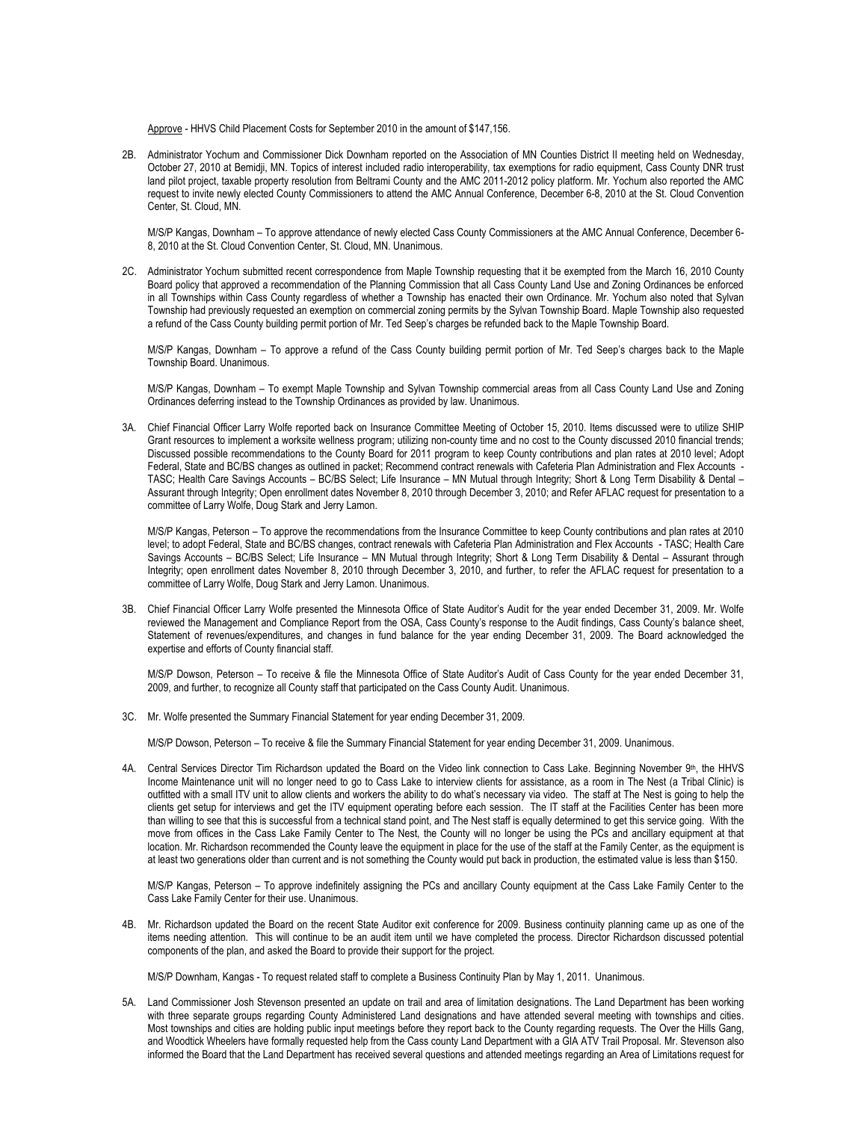Approve - HHVS Child Placement Costs for September 2010 in the amount of \$147,156.

2B. Administrator Yochum and Commissioner Dick Downham reported on the Association of MN Counties District II meeting held on Wednesday, October 27, 2010 at Bemidji, MN. Topics of interest included radio interoperability, tax exemptions for radio equipment, Cass County DNR trust land pilot project, taxable property resolution from Beltrami County and the AMC 2011-2012 policy platform. Mr. Yochum also reported the AMC request to invite newly elected County Commissioners to attend the AMC Annual Conference, December 6-8, 2010 at the St. Cloud Convention Center, St. Cloud, MN.

M/S/P Kangas, Downham – To approve attendance of newly elected Cass County Commissioners at the AMC Annual Conference, December 6- 8, 2010 at the St. Cloud Convention Center, St. Cloud, MN. Unanimous.

2C. Administrator Yochum submitted recent correspondence from Maple Township requesting that it be exempted from the March 16, 2010 County Board policy that approved a recommendation of the Planning Commission that all Cass County Land Use and Zoning Ordinances be enforced in all Townships within Cass County regardless of whether a Township has enacted their own Ordinance. Mr. Yochum also noted that Sylvan Township had previously requested an exemption on commercial zoning permits by the Sylvan Township Board. Maple Township also requested a refund of the Cass County building permit portion of Mr. Ted Seep's charges be refunded back to the Maple Township Board.

M/S/P Kangas, Downham – To approve a refund of the Cass County building permit portion of Mr. Ted Seep's charges back to the Maple Township Board. Unanimous.

M/S/P Kangas, Downham – To exempt Maple Township and Sylvan Township commercial areas from all Cass County Land Use and Zoning Ordinances deferring instead to the Township Ordinances as provided by law. Unanimous.

3A. Chief Financial Officer Larry Wolfe reported back on Insurance Committee Meeting of October 15, 2010. Items discussed were to utilize SHIP Grant resources to implement a worksite wellness program; utilizing non-county time and no cost to the County discussed 2010 financial trends; Discussed possible recommendations to the County Board for 2011 program to keep County contributions and plan rates at 2010 level; Adopt Federal, State and BC/BS changes as outlined in packet; Recommend contract renewals with Cafeteria Plan Administration and Flex Accounts - TASC; Health Care Savings Accounts – BC/BS Select; Life Insurance – MN Mutual through Integrity; Short & Long Term Disability & Dental – Assurant through Integrity; Open enrollment dates November 8, 2010 through December 3, 2010; and Refer AFLAC request for presentation to a committee of Larry Wolfe, Doug Stark and Jerry Lamon.

M/S/P Kangas, Peterson – To approve the recommendations from the Insurance Committee to keep County contributions and plan rates at 2010 level; to adopt Federal, State and BC/BS changes, contract renewals with Cafeteria Plan Administration and Flex Accounts - TASC; Health Care Savings Accounts – BC/BS Select; Life Insurance – MN Mutual through Integrity; Short & Long Term Disability & Dental – Assurant through Integrity; open enrollment dates November 8, 2010 through December 3, 2010, and further, to refer the AFLAC request for presentation to a committee of Larry Wolfe, Doug Stark and Jerry Lamon. Unanimous.

3B. Chief Financial Officer Larry Wolfe presented the Minnesota Office of State Auditor's Audit for the year ended December 31, 2009. Mr. Wolfe reviewed the Management and Compliance Report from the OSA, Cass County's response to the Audit findings, Cass County's balance sheet, Statement of revenues/expenditures, and changes in fund balance for the year ending December 31, 2009. The Board acknowledged the expertise and efforts of County financial staff.

M/S/P Dowson, Peterson – To receive & file the Minnesota Office of State Auditor's Audit of Cass County for the year ended December 31, 2009, and further, to recognize all County staff that participated on the Cass County Audit. Unanimous.

3C. Mr. Wolfe presented the Summary Financial Statement for year ending December 31, 2009.

M/S/P Dowson, Peterson – To receive & file the Summary Financial Statement for year ending December 31, 2009. Unanimous.

4A. Central Services Director Tim Richardson updated the Board on the Video link connection to Cass Lake. Beginning November 9<sup>th</sup>, the HHVS Income Maintenance unit will no longer need to go to Cass Lake to interview clients for assistance, as a room in The Nest (a Tribal Clinic) is outfitted with a small ITV unit to allow clients and workers the ability to do what's necessary via video. The staff at The Nest is going to help the clients get setup for interviews and get the ITV equipment operating before each session. The IT staff at the Facilities Center has been more than willing to see that this is successful from a technical stand point, and The Nest staff is equally determined to get this service going. With the move from offices in the Cass Lake Family Center to The Nest, the County will no longer be using the PCs and ancillary equipment at that location. Mr. Richardson recommended the County leave the equipment in place for the use of the staff at the Family Center, as the equipment is at least two generations older than current and is not something the County would put back in production, the estimated value is less than \$150.

M/S/P Kangas, Peterson – To approve indefinitely assigning the PCs and ancillary County equipment at the Cass Lake Family Center to the Cass Lake Family Center for their use. Unanimous.

4B. Mr. Richardson updated the Board on the recent State Auditor exit conference for 2009. Business continuity planning came up as one of the items needing attention. This will continue to be an audit item until we have completed the process. Director Richardson discussed potential components of the plan, and asked the Board to provide their support for the project.

M/S/P Downham, Kangas - To request related staff to complete a Business Continuity Plan by May 1, 2011. Unanimous.

5A. Land Commissioner Josh Stevenson presented an update on trail and area of limitation designations. The Land Department has been working with three separate groups regarding County Administered Land designations and have attended several meeting with townships and cities. Most townships and cities are holding public input meetings before they report back to the County regarding requests. The Over the Hills Gang, and Woodtick Wheelers have formally requested help from the Cass county Land Department with a GIA ATV Trail Proposal. Mr. Stevenson also informed the Board that the Land Department has received several questions and attended meetings regarding an Area of Limitations request for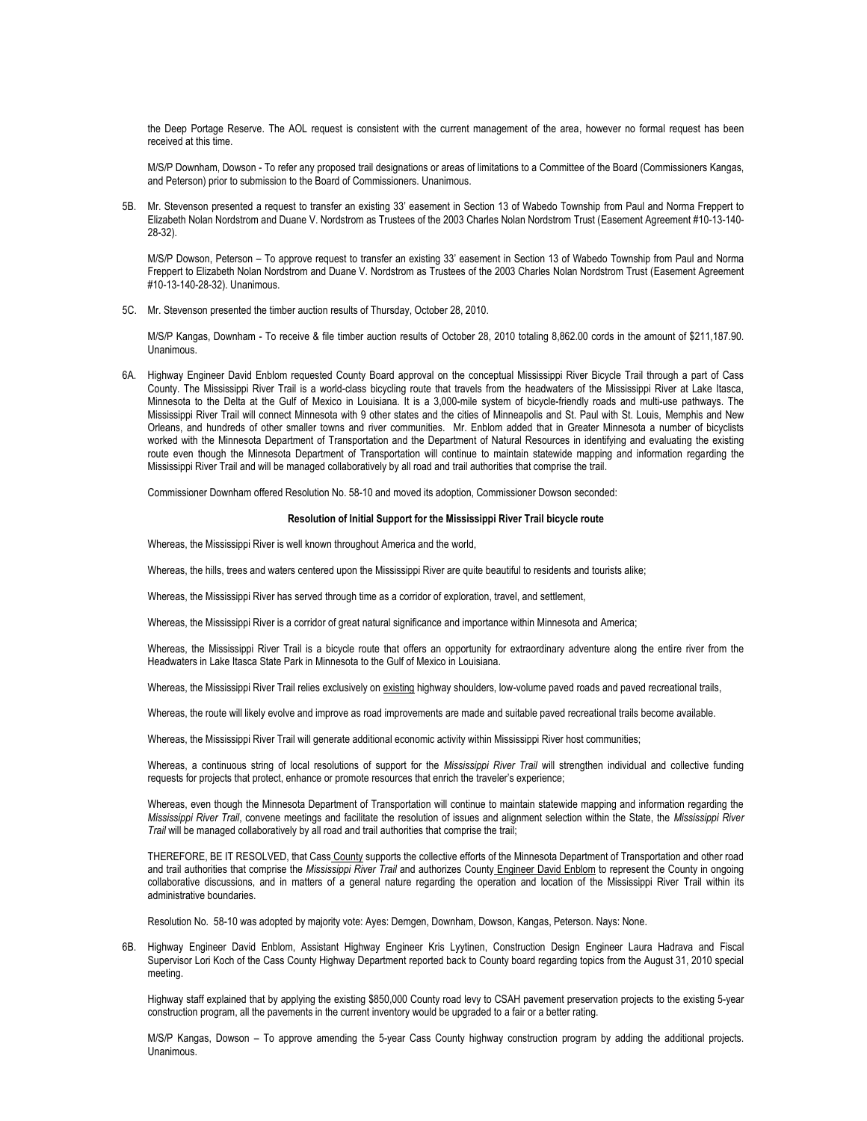the Deep Portage Reserve. The AOL request is consistent with the current management of the area, however no formal request has been received at this time.

M/S/P Downham, Dowson - To refer any proposed trail designations or areas of limitations to a Committee of the Board (Commissioners Kangas, and Peterson) prior to submission to the Board of Commissioners. Unanimous.

5B. Mr. Stevenson presented a request to transfer an existing 33' easement in Section 13 of Wabedo Township from Paul and Norma Freppert to Elizabeth Nolan Nordstrom and Duane V. Nordstrom as Trustees of the 2003 Charles Nolan Nordstrom Trust (Easement Agreement #10-13-140- 28-32).

M/S/P Dowson, Peterson – To approve request to transfer an existing 33' easement in Section 13 of Wabedo Township from Paul and Norma Freppert to Elizabeth Nolan Nordstrom and Duane V. Nordstrom as Trustees of the 2003 Charles Nolan Nordstrom Trust (Easement Agreement #10-13-140-28-32). Unanimous.

5C. Mr. Stevenson presented the timber auction results of Thursday, October 28, 2010.

M/S/P Kangas, Downham - To receive & file timber auction results of October 28, 2010 totaling 8,862.00 cords in the amount of \$211,187.90. Unanimous.

6A. Highway Engineer David Enblom requested County Board approval on the conceptual Mississippi River Bicycle Trail through a part of Cass County. The Mississippi River Trail is a world-class bicycling route that travels from the headwaters of the Mississippi River at Lake Itasca, Minnesota to the Delta at the Gulf of Mexico in Louisiana. It is a 3,000-mile system of bicycle-friendly roads and multi-use pathways. The Mississippi River Trail will connect Minnesota with 9 other states and the cities of Minneapolis and St. Paul with St. Louis, Memphis and New Orleans, and hundreds of other smaller towns and river communities. Mr. Enblom added that in Greater Minnesota a number of bicyclists worked with the Minnesota Department of Transportation and the Department of Natural Resources in identifying and evaluating the existing route even though the Minnesota Department of Transportation will continue to maintain statewide mapping and information regarding the Mississippi River Trail and will be managed collaboratively by all road and trail authorities that comprise the trail.

Commissioner Downham offered Resolution No. 58-10 and moved its adoption, Commissioner Dowson seconded:

## **Resolution of Initial Support for the Mississippi River Trail bicycle route**

Whereas, the Mississippi River is well known throughout America and the world,

Whereas, the hills, trees and waters centered upon the Mississippi River are quite beautiful to residents and tourists alike;

Whereas, the Mississippi River has served through time as a corridor of exploration, travel, and settlement,

Whereas, the Mississippi River is a corridor of great natural significance and importance within Minnesota and America;

Whereas, the Mississippi River Trail is a bicycle route that offers an opportunity for extraordinary adventure along the entire river from the Headwaters in Lake Itasca State Park in Minnesota to the Gulf of Mexico in Louisiana.

Whereas, the Mississippi River Trail relies exclusively on existing highway shoulders, low-volume paved roads and paved recreational trails,

Whereas, the route will likely evolve and improve as road improvements are made and suitable paved recreational trails become available.

Whereas, the Mississippi River Trail will generate additional economic activity within Mississippi River host communities;

Whereas, a continuous string of local resolutions of support for the *Mississippi River Trail* will strengthen individual and collective funding requests for projects that protect, enhance or promote resources that enrich the traveler's experience;

Whereas, even though the Minnesota Department of Transportation will continue to maintain statewide mapping and information regarding the *Mississippi River Trail*, convene meetings and facilitate the resolution of issues and alignment selection within the State, the *Mississippi River Trail* will be managed collaboratively by all road and trail authorities that comprise the trail;

THEREFORE, BE IT RESOLVED, that Cass County supports the collective efforts of the Minnesota Department of Transportation and other road and trail authorities that comprise the *Mississippi River Trail* and authorizes County Engineer David Enblom to represent the County in ongoing collaborative discussions, and in matters of a general nature regarding the operation and location of the Mississippi River Trail within its administrative boundaries.

Resolution No. 58-10 was adopted by majority vote: Ayes: Demgen, Downham, Dowson, Kangas, Peterson. Nays: None.

6B. Highway Engineer David Enblom, Assistant Highway Engineer Kris Lyytinen, Construction Design Engineer Laura Hadrava and Fiscal Supervisor Lori Koch of the Cass County Highway Department reported back to County board regarding topics from the August 31, 2010 special meeting.

Highway staff explained that by applying the existing \$850,000 County road levy to CSAH pavement preservation projects to the existing 5-year construction program, all the pavements in the current inventory would be upgraded to a fair or a better rating.

M/S/P Kangas, Dowson – To approve amending the 5-year Cass County highway construction program by adding the additional projects. Unanimous.